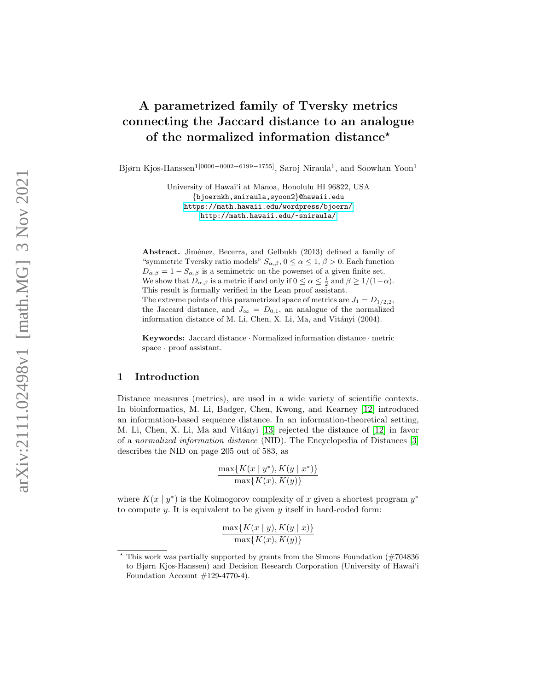# A parametrized family of Tversky metrics connecting the Jaccard distance to an analogue of the normalized information distance\*

Bjørn Kjos-Hanssen $^{1[0000-0002-6199-1755]},$  Saroj Niraula<sup>1</sup>, and Soowhan Yoon<sup>1</sup>

University of Hawai'i at Mānoa, Honolulu HI 96822, USA {bjoernkh,sniraula,syoon2}@hawaii.edu <https://math.hawaii.edu/wordpress/bjoern/> [http://math.hawaii.edu/](http://math.hawaii.edu/~sniraula/)~sniraula/

Abstract. Jiménez, Becerra, and Gelbukh (2013) defined a family of "symmetric Tversky ratio models"  $S_{\alpha,\beta}$ ,  $0 \leq \alpha \leq 1$ ,  $\beta > 0$ . Each function  $D_{\alpha,\beta} = 1 - S_{\alpha,\beta}$  is a semimetric on the powerset of a given finite set. We show that  $D_{\alpha,\beta}$  is a metric if and only if  $0 \le \alpha \le \frac{1}{2}$  and  $\beta \ge 1/(1-\alpha)$ . This result is formally verified in the Lean proof assistant. The extreme points of this parametrized space of metrics are  $J_1 = D_{1/2,2}$ , the Jaccard distance, and  $J_{\infty} = D_{0,1}$ , an analogue of the normalized information distance of M. Li, Chen, X. Li, Ma, and Vitányi (2004).

Keywords: Jaccard distance · Normalized information distance · metric space · proof assistant.

## 1 Introduction

Distance measures (metrics), are used in a wide variety of scientific contexts. In bioinformatics, M. Li, Badger, Chen, Kwong, and Kearney [\[12\]](#page-11-0) introduced an information-based sequence distance. In an information-theoretical setting, M. Li, Chen, X. Li, Ma and Vitányi [\[13\]](#page-11-1) rejected the distance of [\[12\]](#page-11-0) in favor of a normalized information distance (NID). The Encyclopedia of Distances [\[3\]](#page-11-2) describes the NID on page 205 out of 583, as

$$
\frac{\max\{K(x \mid y^*), K(y \mid x^*)\}}{\max\{K(x), K(y)\}}
$$

where  $K(x \mid y^*)$  is the Kolmogorov complexity of x given a shortest program  $y^*$ to compute  $y$ . It is equivalent to be given  $y$  itself in hard-coded form:

$$
\frac{\max\{K(x \mid y), K(y \mid x)\}}{\max\{K(x), K(y)\}}
$$

<sup>?</sup> This work was partially supported by grants from the Simons Foundation (#704836 to Bjørn Kjos-Hanssen) and Decision Research Corporation (University of Hawai'i Foundation Account #129-4770-4).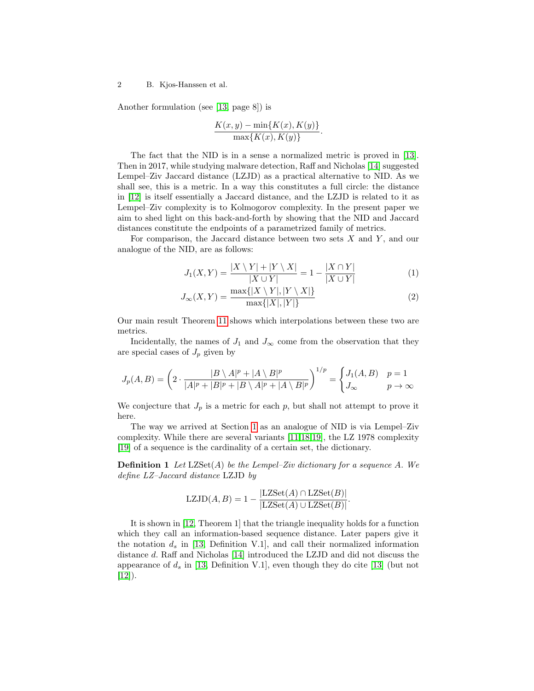Another formulation (see [\[13,](#page-11-1) page 8]) is

$$
\frac{K(x,y) - \min\{K(x), K(y)\}}{\max\{K(x), K(y)\}}
$$

The fact that the NID is in a sense a normalized metric is proved in [\[13\]](#page-11-1). Then in 2017, while studying malware detection, Raff and Nicholas [\[14\]](#page-11-3) suggested Lempel–Ziv Jaccard distance (LZJD) as a practical alternative to NID. As we shall see, this is a metric. In a way this constitutes a full circle: the distance in [\[12\]](#page-11-0) is itself essentially a Jaccard distance, and the LZJD is related to it as Lempel–Ziv complexity is to Kolmogorov complexity. In the present paper we aim to shed light on this back-and-forth by showing that the NID and Jaccard distances constitute the endpoints of a parametrized family of metrics.

For comparison, the Jaccard distance between two sets  $X$  and  $Y$ , and our analogue of the NID, are as follows:

<span id="page-1-0"></span>
$$
J_1(X,Y) = \frac{|X \setminus Y| + |Y \setminus X|}{|X \cup Y|} = 1 - \frac{|X \cap Y|}{|X \cup Y|} \tag{1}
$$

.

$$
J_{\infty}(X,Y) = \frac{\max\{|X \setminus Y|, |Y \setminus X|\}}{\max\{|X|, |Y|\}}
$$
\n(2)

Our main result Theorem [11](#page-4-0) shows which interpolations between these two are metrics.

Incidentally, the names of  $J_1$  and  $J_{\infty}$  come from the observation that they are special cases of  $J_p$  given by

$$
J_p(A,B) = \left(2 \cdot \frac{|B \setminus A|^p + |A \setminus B|^p}{|A|^p + |B|^p + |B \setminus A|^p + |A \setminus B|^p}\right)^{1/p} = \begin{cases} J_1(A,B) & p = 1\\ J_\infty & p \to \infty \end{cases}
$$

We conjecture that  $J_p$  is a metric for each p, but shall not attempt to prove it here.

The way we arrived at Section [1](#page-1-0) as an analogue of NID is via Lempel–Ziv complexity. While there are several variants [\[11](#page-11-4)[,18,](#page-12-0)[19\]](#page-12-1), the LZ 1978 complexity [\[19\]](#page-12-1) of a sequence is the cardinality of a certain set, the dictionary.

**Definition 1** Let  $LZSet(A)$  be the Lempel–Ziv dictionary for a sequence A. We define LZ–Jaccard distance LZJD by

$$
LZJD(A, B) = 1 - \frac{|LZSet(A) \cap LZSet(B)|}{|LZSet(A) \cup LZSet(B)|}.
$$

It is shown in [\[12,](#page-11-0) Theorem 1] that the triangle inequality holds for a function which they call an information-based sequence distance. Later papers give it the notation  $d_s$  in [\[13,](#page-11-1) Definition V.1], and call their normalized information distance d. Raff and Nicholas [\[14\]](#page-11-3) introduced the LZJD and did not discuss the appearance of  $d_s$  in [\[13,](#page-11-1) Definition V.1], even though they do cite [\[13\]](#page-11-1) (but not  $[12]$ .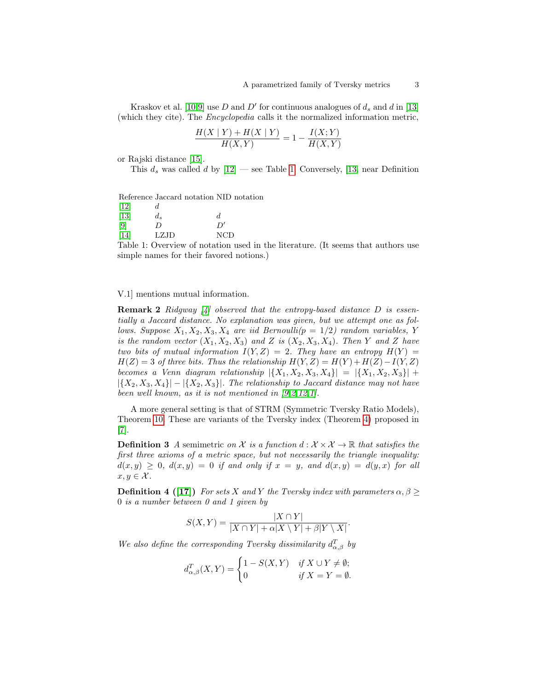Kraskov et al. [\[10](#page-11-5)[,9\]](#page-11-6) use D and D' for continuous analogues of  $d_s$  and  $d$  in [\[13\]](#page-11-1) (which they cite). The Encyclopedia calls it the normalized information metric,

$$
\frac{H(X \mid Y) + H(X \mid Y)}{H(X, Y)} = 1 - \frac{I(X; Y)}{H(X, Y)}
$$

or Rajski distance [\[15\]](#page-12-2).

This  $d_s$  was called d by  $[12]$  — see Table [1.](#page-2-0) Conversely, [\[13,](#page-11-1) near Definition

<span id="page-2-0"></span>Reference Jaccard notation NID notation

| $[12]$            | d     |     |
|-------------------|-------|-----|
| $[13]$            | $d_s$ | d.  |
| $\lceil 9 \rceil$ | D     | D'  |
| $[14]$            | LZJD  | NCD |
|                   |       |     |

Table 1: Overview of notation used in the literature. (It seems that authors use simple names for their favored notions.)

V.1] mentions mutual information.

**Remark 2** Ridgway  $\begin{bmatrix} 4 \end{bmatrix}$  observed that the entropy-based distance D is essentially a Jaccard distance. No explanation was given, but we attempt one as follows. Suppose  $X_1, X_2, X_3, X_4$  are iid Bernoulli( $p = 1/2$ ) random variables, Y is the random vector  $(X_1, X_2, X_3)$  and Z is  $(X_2, X_3, X_4)$ . Then Y and Z have two bits of mutual information  $I(Y, Z) = 2$ . They have an entropy  $H(Y) =$  $H(Z) = 3$  of three bits. Thus the relationship  $H(Y, Z) = H(Y) + H(Z) - I(Y, Z)$ becomes a Venn diagram relationship  $|\{X_1, X_2, X_3, X_4\}| = |\{X_1, X_2, X_3\}| +$  $|\{X_2, X_3, X_4\}| - |\{X_2, X_3\}|$ . The relationship to Jaccard distance may not have been well known, as it is not mentioned in [\[9,](#page-11-6)[2,](#page-11-8)[12,](#page-11-0)[1\]](#page-11-9).

<span id="page-2-2"></span>A more general setting is that of STRM (Symmetric Tversky Ratio Models), Theorem [10.](#page-3-0) These are variants of the Tversky index (Theorem [4\)](#page-2-1) proposed in [\[7\]](#page-11-10).

**Definition 3** A semimetric on X is a function  $d : X \times X \to \mathbb{R}$  that satisfies the first three axioms of a metric space, but not necessarily the triangle inequality:  $d(x,y) \geq 0$ ,  $d(x,y) = 0$  if and only if  $x = y$ , and  $d(x,y) = d(y,x)$  for all  $x, y \in \mathcal{X}$ .

<span id="page-2-1"></span>**Definition 4** ([\[17\]](#page-12-3)) For sets X and Y the Tversky index with parameters  $\alpha, \beta \geq 1$ 0 is a number between 0 and 1 given by

$$
S(X,Y) = \frac{|X \cap Y|}{|X \cap Y| + \alpha |X \setminus Y| + \beta |Y \setminus X|}.
$$

We also define the corresponding Tversky dissimilarity  $d_{\alpha,\beta}^{T}$  by

$$
d_{\alpha,\beta}^T(X,Y) = \begin{cases} 1 - S(X,Y) & \text{if } X \cup Y \neq \emptyset; \\ 0 & \text{if } X = Y = \emptyset. \end{cases}
$$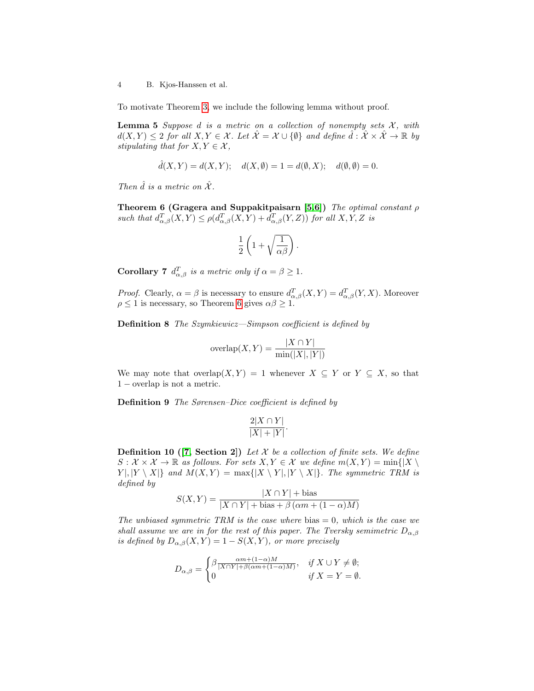To motivate Theorem [3,](#page-2-2) we include the following lemma without proof.

**Lemma 5** Suppose d is a metric on a collection of nonempty sets  $\mathcal{X}$ , with  $d(X,Y) \leq 2$  for all  $X, Y \in \mathcal{X}$ . Let  $\hat{\mathcal{X}} = \mathcal{X} \cup \{\emptyset\}$  and define  $\hat{d}: \hat{\mathcal{X}} \times \hat{\mathcal{X}} \to \mathbb{R}$  by stipulating that for  $X, Y \in \mathcal{X}$ ,

$$
\hat{d}(X,Y) = d(X,Y);
$$
  $d(X, \emptyset) = 1 = d(\emptyset, X);$   $d(\emptyset, \emptyset) = 0.$ 

Then  $\hat{d}$  is a metric on  $\hat{\mathcal{X}}$ .

<span id="page-3-1"></span>Theorem 6 (Gragera and Suppakitpaisarn [\[5,](#page-11-11)[6\]](#page-11-12)) The optimal constant  $\rho$ such that  $d_{\alpha,\beta}^T(X,Y) \leq \rho(d_{\alpha,\beta}^T(X,Y) + d_{\alpha,\beta}^T(Y,Z))$  for all  $X,Y,Z$  is

$$
\frac{1}{2}\left(1+\sqrt{\frac{1}{\alpha\beta}}\right).
$$

<span id="page-3-2"></span>**Corollary 7**  $d_{\alpha,\beta}^T$  is a metric only if  $\alpha = \beta \geq 1$ .

*Proof.* Clearly,  $\alpha = \beta$  is necessary to ensure  $d_{\alpha,\beta}^T(X,Y) = d_{\alpha,\beta}^T(Y,X)$ . Moreover  $\rho \leq 1$  is necessary, so Theorem [6](#page-3-1) gives  $\alpha \beta \geq 1$ .

**Definition 8** The Szymkiewicz—Simpson coefficient is defined by

$$
\operatorname{overlap}(X, Y) = \frac{|X \cap Y|}{\min(|X|, |Y|)}
$$

We may note that overlap $(X, Y) = 1$  whenever  $X \subseteq Y$  or  $Y \subseteq X$ , so that 1 − overlap is not a metric.

**Definition 9** The Sørensen–Dice coefficient is defined by

$$
\frac{2|X \cap Y|}{|X| + |Y|}.
$$

<span id="page-3-0"></span>**Definition 10 ([\[7,](#page-11-10) Section 2])** Let  $X$  be a collection of finite sets. We define  $S: \mathcal{X} \times \mathcal{X} \to \mathbb{R}$  as follows. For sets  $X, Y \in \mathcal{X}$  we define  $m(X, Y) = \min\{|X\}\$  $Y|, |Y \setminus X|$  and  $M(X, Y) = \max\{|X \setminus Y|, |Y \setminus X|\}$ . The symmetric TRM is defined by

$$
S(X,Y) = \frac{|X \cap Y| + \text{bias}}{|X \cap Y| + \text{bias} + \beta (\alpha m + (1 - \alpha)M)}
$$

The unbiased symmetric TRM is the case where bias  $= 0$ , which is the case we shall assume we are in for the rest of this paper. The Tversky semimetric  $D_{\alpha,\beta}$ is defined by  $D_{\alpha,\beta}(X,Y) = 1 - S(X,Y)$ , or more precisely

$$
D_{\alpha,\beta} = \begin{cases} \beta \frac{\alpha m + (1 - \alpha)M}{|X \cap Y| + \beta(\alpha m + (1 - \alpha)M)}, & \text{if } X \cup Y \neq \emptyset; \\ 0 & \text{if } X = Y = \emptyset. \end{cases}
$$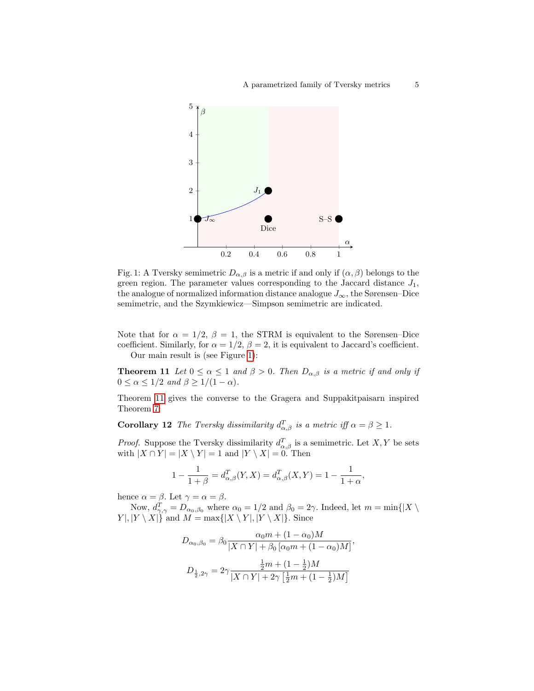<span id="page-4-1"></span>

Fig. 1: A Tversky semimetric  $D_{\alpha,\beta}$  is a metric if and only if  $(\alpha,\beta)$  belongs to the green region. The parameter values corresponding to the Jaccard distance  $J_1$ , the analogue of normalized information distance analogue  $J_{\infty}$ , the Sørensen–Dice semimetric, and the Szymkiewicz—Simpson semimetric are indicated.

<span id="page-4-0"></span>Note that for  $\alpha = 1/2$ ,  $\beta = 1$ , the STRM is equivalent to the Sørensen–Dice coefficient. Similarly, for  $\alpha = 1/2$ ,  $\beta = 2$ , it is equivalent to Jaccard's coefficient. Our main result is (see Figure [1\)](#page-4-1):

**Theorem 11** Let  $0 \le \alpha \le 1$  and  $\beta > 0$ . Then  $D_{\alpha,\beta}$  is a metric if and only if  $0 \le \alpha \le 1/2$  and  $\beta \ge 1/(1 - \alpha)$ .

<span id="page-4-2"></span>Theorem [11](#page-4-0) gives the converse to the Gragera and Suppakitpaisarn inspired Theorem [7:](#page-3-2)

**Corollary 12** The Tversky dissimilarity  $d_{\alpha,\beta}^T$  is a metric iff  $\alpha = \beta \geq 1$ .

*Proof.* Suppose the Tversky dissimilarity  $d_{\alpha,\beta}^T$  is a semimetric. Let X, Y be sets with  $|X \cap Y| = |X \setminus Y| = 1$  and  $|Y \setminus X| = 0$ . Then

$$
1 - \frac{1}{1 + \beta} = d_{\alpha, \beta}^T(Y, X) = d_{\alpha, \beta}^T(X, Y) = 1 - \frac{1}{1 + \alpha}
$$

,

hence  $\alpha = \beta$ . Let  $\gamma = \alpha = \beta$ .

Now,  $d_{\gamma,\gamma}^T = D_{\alpha_0,\beta_0}$  where  $\alpha_0 = 1/2$  and  $\beta_0 = 2\gamma$ . Indeed, let  $m = \min\{|X \setminus \mathcal{P}|\}$  $Y|, |Y \setminus X|$  and  $M = \max\{|X \setminus Y|, |Y \setminus X|\}.$  Since

$$
D_{\alpha_0, \beta_0} = \beta_0 \frac{\alpha_0 m + (1 - \alpha_0) M}{|X \cap Y| + \beta_0 [\alpha_0 m + (1 - \alpha_0) M]},
$$
  

$$
D_{\frac{1}{2}, 2\gamma} = 2\gamma \frac{\frac{1}{2} m + (1 - \frac{1}{2}) M}{|X \cap Y| + 2\gamma [\frac{1}{2} m + (1 - \frac{1}{2}) M]}
$$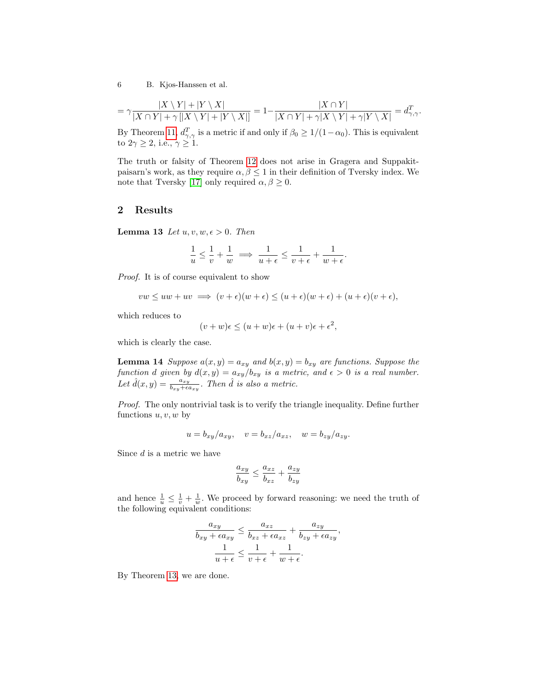$$
= \gamma \frac{|X \setminus Y| + |Y \setminus X|}{|X \cap Y| + \gamma[|X \setminus Y| + |Y \setminus X|]} = 1 - \frac{|X \cap Y|}{|X \cap Y| + \gamma|X \setminus Y| + \gamma|Y \setminus X|} = d_{\gamma, \gamma}^T.
$$

By Theorem [11,](#page-4-0)  $d_{\gamma,\gamma}^T$  is a metric if and only if  $\beta_0 \geq 1/(1-\alpha_0)$ . This is equivalent to  $2\gamma \geq 2$ , i.e.,  $\gamma \geq 1$ .

The truth or falsity of Theorem [12](#page-4-2) does not arise in Gragera and Suppakitpaisarn's work, as they require  $\alpha, \beta \leq 1$  in their definition of Tversky index. We note that Tversky [\[17\]](#page-12-3) only required  $\alpha, \beta \geq 0$ .

### 2 Results

<span id="page-5-0"></span>**Lemma 13** Let  $u, v, w, \epsilon > 0$ . Then

$$
\frac{1}{u} \leq \frac{1}{v} + \frac{1}{w} \implies \frac{1}{u+\epsilon} \leq \frac{1}{v+\epsilon} + \frac{1}{w+\epsilon}.
$$

Proof. It is of course equivalent to show

$$
vw \le uw + uv \implies (v + \epsilon)(w + \epsilon) \le (u + \epsilon)(w + \epsilon) + (u + \epsilon)(v + \epsilon),
$$

which reduces to

$$
(v+w)\epsilon \le (u+w)\epsilon + (u+v)\epsilon + \epsilon^2,
$$

which is clearly the case.

<span id="page-5-1"></span>**Lemma 14** Suppose  $a(x, y) = a_{xy}$  and  $b(x, y) = b_{xy}$  are functions. Suppose the function d given by  $d(x, y) = a_{xy}/b_{xy}$  is a metric, and  $\epsilon > 0$  is a real number. Let  $\hat{d}(x,y) = \frac{a_{xy}}{b_{xy} + \epsilon a_{xy}}$ . Then  $\hat{d}$  is also a metric.

Proof. The only nontrivial task is to verify the triangle inequality. Define further functions  $u, v, w$  by

$$
u = b_{xy}/a_{xy}, \quad v = b_{xz}/a_{xz}, \quad w = b_{zy}/a_{zy}.
$$

Since d is a metric we have

$$
\frac{a_{xy}}{b_{xy}} \le \frac{a_{xz}}{b_{xz}} + \frac{a_{zy}}{b_{zy}}
$$

and hence  $\frac{1}{u} \leq \frac{1}{v} + \frac{1}{w}$ . We proceed by forward reasoning: we need the truth of the following equivalent conditions:

$$
\frac{a_{xy}}{b_{xy} + \epsilon a_{xy}} \le \frac{a_{xz}}{b_{xz} + \epsilon a_{xz}} + \frac{a_{zy}}{b_{zy} + \epsilon a_{zy}},
$$

$$
\frac{1}{u + \epsilon} \le \frac{1}{v + \epsilon} + \frac{1}{w + \epsilon}.
$$

By Theorem [13,](#page-5-0) we are done.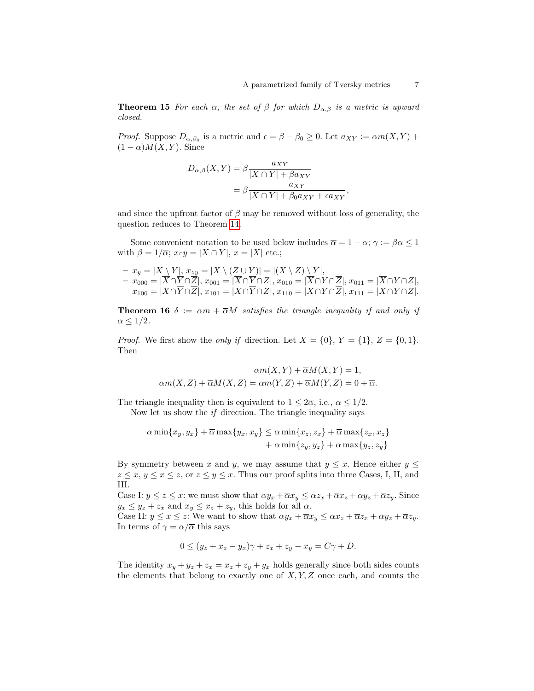**Theorem 15** For each  $\alpha$ , the set of  $\beta$  for which  $D_{\alpha,\beta}$  is a metric is upward closed.

*Proof.* Suppose  $D_{\alpha,\beta_0}$  is a metric and  $\epsilon = \beta - \beta_0 \geq 0$ . Let  $a_{XY} := \alpha m(X,Y) +$  $(1 - \alpha)M(X, Y)$ . Since

$$
D_{\alpha,\beta}(X,Y) = \beta \frac{a_{XY}}{|X \cap Y| + \beta a_{XY}}
$$
  
= 
$$
\beta \frac{a_{XY}}{|X \cap Y| + \beta_0 a_{XY} + \epsilon a_{XY}},
$$

and since the upfront factor of  $\beta$  may be removed without loss of generality, the question reduces to Theorem [14.](#page-5-1)

Some convenient notation to be used below includes  $\overline{\alpha} = 1 - \alpha$ ;  $\gamma := \beta \alpha \leq 1$ with  $\beta = 1/\overline{\alpha}$ ;  $x \cap y = |X \cap Y|$ ,  $x = |X|$  etc.;

$$
- x_y = |X \setminus Y|, x_{zy} = |X \setminus (Z \cup Y)| = |(X \setminus Z) \setminus Y|, - x_{000} = |\overline{X} \cap \overline{Y} \cap \overline{Z}|, x_{001} = |\overline{X} \cap \overline{Y} \cap Z|, x_{010} = |\overline{X} \cap Y \cap \overline{Z}|, x_{011} = |\overline{X} \cap Y \cap Z|, x_{100} = |X \cap \overline{Y} \cap \overline{Z}|, x_{101} = |X \cap \overline{Y} \cap Z|, x_{110} = |X \cap Y \cap \overline{Z}|, x_{111} = |X \cap Y \cap Z|.
$$

<span id="page-6-0"></span>**Theorem 16**  $\delta := \alpha m + \overline{\alpha} M$  satisfies the triangle inequality if and only if  $\alpha \leq 1/2$ .

*Proof.* We first show the *only if* direction. Let  $X = \{0\}$ ,  $Y = \{1\}$ ,  $Z = \{0, 1\}$ . Then

$$
\alpha m(X, Y) + \overline{\alpha} M(X, Y) = 1,
$$
  

$$
\alpha m(X, Z) + \overline{\alpha} M(X, Z) = \alpha m(Y, Z) + \overline{\alpha} M(Y, Z) = 0 + \overline{\alpha}.
$$

The triangle inequality then is equivalent to  $1 \leq 2\overline{\alpha}$ , i.e.,  $\alpha \leq 1/2$ . Now let us show the  $if$  direction. The triangle inequality says

$$
\alpha \min\{x_y, y_x\} + \overline{\alpha} \max\{y_x, x_y\} \le \alpha \min\{x_z, z_x\} + \overline{\alpha} \max\{z_x, x_z\} + \alpha \min\{z_y, y_z\} + \overline{\alpha} \max\{y_z, z_y\}
$$

By symmetry between x and y, we may assume that  $y \leq x$ . Hence either  $y \leq$  $z \leq x, y \leq x \leq z$ , or  $z \leq y \leq x$ . Thus our proof splits into three Cases, I, II, and III.

Case I:  $y \le z \le x$ : we must show that  $\alpha y_x + \overline{\alpha} x_y \le \alpha z_x + \overline{\alpha} x_z + \alpha y_z + \overline{\alpha} z_y$ . Since  $y_x \le y_z + z_x$  and  $x_y \le x_z + z_y$ , this holds for all  $\alpha$ .

Case II:  $y \le x \le z$ : We want to show that  $\alpha y_x + \overline{\alpha} x_y \le \alpha x_z + \overline{\alpha} z_x + \alpha y_z + \overline{\alpha} z_y$ . In terms of  $\gamma = \alpha/\overline{\alpha}$  this says

$$
0 \le (y_z + x_z - y_x)\gamma + z_x + z_y - x_y = C\gamma + D.
$$

The identity  $x_y + y_z + z_x = x_z + z_y + y_x$  holds generally since both sides counts the elements that belong to exactly one of  $X, Y, Z$  once each, and counts the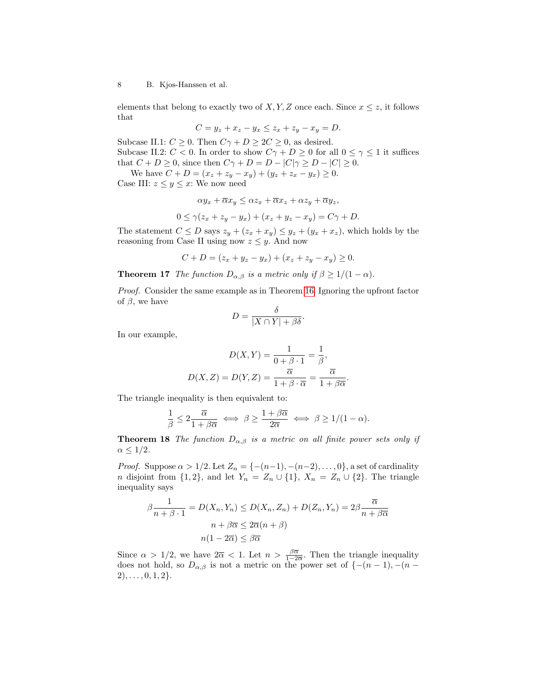elements that belong to exactly two of  $X, Y, Z$  once each. Since  $x \leq z$ , it follows that

$$
C = y_z + x_z - y_x \le z_x + z_y - x_y = D.
$$

Subcase II.1:  $C \geq 0$ . Then  $C\gamma + D \geq 2C \geq 0$ , as desired. Subcase II.2:  $C < 0$ . In order to show  $C\gamma + D \ge 0$  for all  $0 \le \gamma \le 1$  it suffices that  $C + D \geq 0$ , since then  $C\gamma + D = D - |C|\gamma \geq D - |C| \geq 0$ .

We have  $C + D = (x_z + z_y - x_y) + (y_z + z_x - y_x) \ge 0$ . Case III:  $z \leq y \leq x$ : We now need

$$
\alpha y_x + \overline{\alpha} x_y \le \alpha z_x + \overline{\alpha} x_z + \alpha z_y + \overline{\alpha} y_z,
$$

$$
0 \le \gamma (z_x + z_y - y_x) + (x_z + y_z - x_y) = C\gamma + D.
$$

The statement  $C \leq D$  says  $z_y + (z_x + x_y) \leq y_z + (y_x + x_z)$ , which holds by the reasoning from Case II using now  $z \leq y$ . And now

$$
C + D = (z_x + y_z - y_x) + (x_z + z_y - x_y) \ge 0.
$$

**Theorem 17** The function  $D_{\alpha,\beta}$  is a metric only if  $\beta \geq 1/(1-\alpha)$ .

Proof. Consider the same example as in Theorem [16.](#page-6-0) Ignoring the upfront factor of  $\beta$ , we have

$$
D = \frac{\delta}{|X \cap Y| + \beta \delta}.
$$

In our example,

$$
D(X,Y) = \frac{1}{0+\beta \cdot 1} = \frac{1}{\beta},
$$
  

$$
D(X,Z) = D(Y,Z) = \frac{\overline{\alpha}}{1+\beta \cdot \overline{\alpha}} = \frac{\overline{\alpha}}{1+\beta \overline{\alpha}}.
$$

The triangle inequality is then equivalent to:

$$
\frac{1}{\beta} \leq 2 \frac{\overline{\alpha}}{1+\beta\overline{\alpha}} \iff \beta \geq \frac{1+\beta\overline{\alpha}}{2\overline{\alpha}} \iff \beta \geq 1/(1-\alpha).
$$

**Theorem 18** The function  $D_{\alpha,\beta}$  is a metric on all finite power sets only if  $\alpha \leq 1/2$ .

*Proof.* Suppose  $\alpha > 1/2$ . Let  $Z_n = \{- (n-1), -(n-2), \ldots, 0\}$ , a set of cardinality *n* disjoint from  $\{1, 2\}$ , and let  $Y_n = Z_n \cup \{1\}$ ,  $X_n = Z_n \cup \{2\}$ . The triangle inequality says

$$
\beta \frac{1}{n + \beta \cdot 1} = D(X_n, Y_n) \le D(X_n, Z_n) + D(Z_n, Y_n) = 2\beta \frac{\overline{\alpha}}{n + \beta \overline{\alpha}}
$$

$$
n + \beta \overline{\alpha} \le 2\overline{\alpha}(n + \beta)
$$

$$
n(1 - 2\overline{\alpha}) \le \beta \overline{\alpha}
$$

Since  $\alpha > 1/2$ , we have  $2\overline{\alpha} < 1$ . Let  $n > \frac{\beta \overline{\alpha}}{1-2\overline{\alpha}}$ . Then the triangle inequality does not hold, so  $D_{\alpha,\beta}$  is not a metric on the power set of  $\{-(n-1), -(n-1)\}$  $2), \ldots, 0, 1, 2\}.$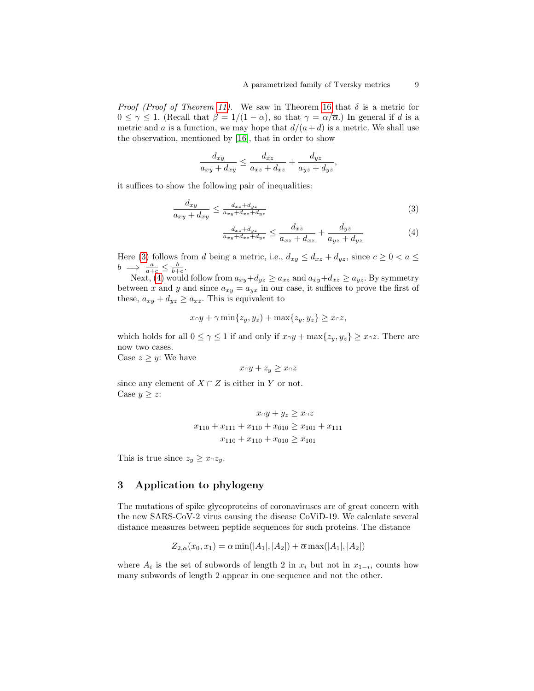*Proof (Proof of Theorem [11\)](#page-4-0).* We saw in Theorem [16](#page-6-0) that  $\delta$  is a metric for  $0 \leq \gamma \leq 1$ . (Recall that  $\beta = 1/(1 - \alpha)$ , so that  $\gamma = \alpha/\overline{\alpha}$ .) In general if d is a metric and a is a function, we may hope that  $d/(a+d)$  is a metric. We shall use the observation, mentioned by [\[16\]](#page-12-4), that in order to show

$$
\frac{d_{xy}}{a_{xy} + d_{xy}} \le \frac{d_{xz}}{a_{xz} + d_{xz}} + \frac{d_{yz}}{a_{yz} + d_{yz}},
$$

it suffices to show the following pair of inequalities:

<span id="page-8-0"></span>
$$
\frac{d_{xy}}{a_{xy} + d_{xy}} \le \frac{d_{xz} + d_{yz}}{a_{xy} + d_{xz} + d_{yz}}\tag{3}
$$

$$
\frac{d_{xz} + d_{yz}}{a_{xy} + d_{xz} + d_{yz}} \le \frac{d_{xz}}{a_{xz} + d_{xz}} + \frac{d_{yz}}{a_{yz} + d_{yz}} \tag{4}
$$

Here [\(3\)](#page-8-0) follows from d being a metric, i.e.,  $d_{xy} \leq d_{xz} + d_{yz}$ , since  $c \geq 0 < a \leq$  $b \implies \frac{a}{a+c} \leq \frac{b}{b+c}.$ 

Next, [\(4\)](#page-8-0) would follow from  $a_{xy}+d_{yz} \ge a_{xz}$  and  $a_{xy}+d_{xz} \ge a_{yz}$ . By symmetry between x and y and since  $a_{xy} = a_{yx}$  in our case, it suffices to prove the first of these,  $a_{xy} + d_{yz} \ge a_{xz}$ . This is equivalent to

$$
x\lceil y + \gamma \min\{z_y, y_z\} + \max\{z_y, y_z\} \geq x\lceil z \rceil,
$$

which holds for all  $0 \leq \gamma \leq 1$  if and only if  $x \cap y + \max\{z_y, y_z\} \geq x \cap z$ . There are now two cases.

Case  $z \geq y$ : We have

$$
x \cap y + z_y \ge x \cap z
$$

since any element of  $X \cap Z$  is either in Y or not. Case  $y \geq z$ :

$$
x_0y + y_z \ge x_0z
$$
  

$$
x_{110} + x_{111} + x_{110} + x_{010} \ge x_{101} + x_{111}
$$
  

$$
x_{110} + x_{110} + x_{010} \ge x_{101}
$$

This is true since  $z_y \geq x \cap z_y$ .

# 3 Application to phylogeny

The mutations of spike glycoproteins of coronaviruses are of great concern with the new SARS-CoV-2 virus causing the disease CoViD-19. We calculate several distance measures between peptide sequences for such proteins. The distance

$$
Z_{2,\alpha}(x_0, x_1) = \alpha \min(|A_1|, |A_2|) + \overline{\alpha} \max(|A_1|, |A_2|)
$$

where  $A_i$  is the set of subwords of length 2 in  $x_i$  but not in  $x_{1-i}$ , counts how many subwords of length 2 appear in one sequence and not the other.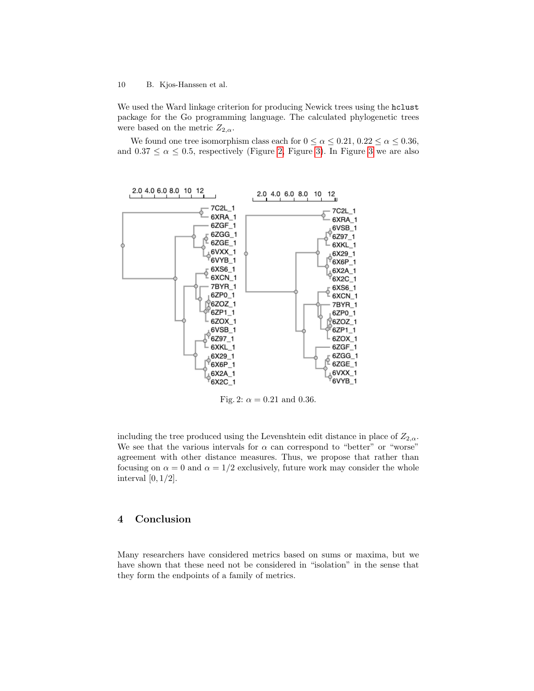We used the Ward linkage criterion for producing Newick trees using the hclust package for the Go programming language. The calculated phylogenetic trees were based on the metric  $Z_{2,\alpha}$ .

We found one tree isomorphism class each for  $0 \le \alpha \le 0.21$ ,  $0.22 \le \alpha \le 0.36$ , and  $0.37 \le \alpha \le 0.5$ , respectively (Figure [2,](#page-9-0) Figure [3\)](#page-10-0). In Figure [3](#page-10-0) we are also

<span id="page-9-0"></span>

Fig. 2:  $\alpha = 0.21$  and 0.36.

including the tree produced using the Levenshtein edit distance in place of  $Z_{2,\alpha}$ . We see that the various intervals for  $\alpha$  can correspond to "better" or "worse" agreement with other distance measures. Thus, we propose that rather than focusing on  $\alpha = 0$  and  $\alpha = 1/2$  exclusively, future work may consider the whole interval  $[0, 1/2]$ .

# 4 Conclusion

Many researchers have considered metrics based on sums or maxima, but we have shown that these need not be considered in "isolation" in the sense that they form the endpoints of a family of metrics.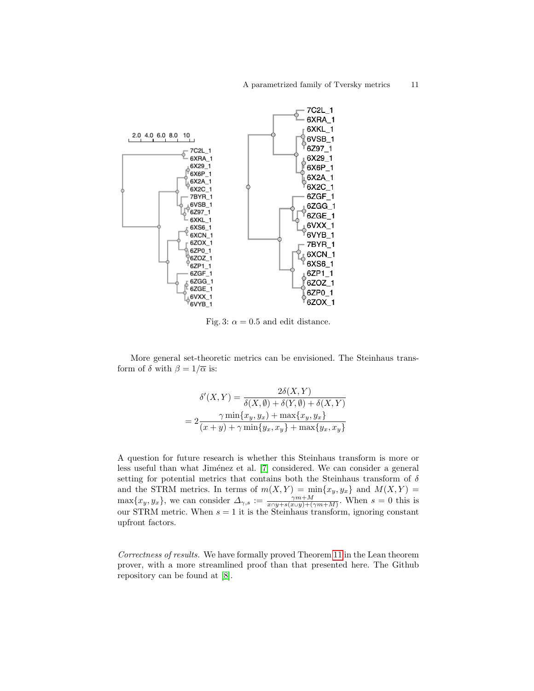<span id="page-10-0"></span>

Fig. 3:  $\alpha = 0.5$  and edit distance.

More general set-theoretic metrics can be envisioned. The Steinhaus transform of  $\delta$  with  $\beta = 1/\overline{\alpha}$  is:

$$
\delta'(X,Y) = \frac{2\delta(X,Y)}{\delta(X,\emptyset) + \delta(Y,\emptyset) + \delta(X,Y)}
$$

$$
= 2\frac{\gamma \min\{x_y, y_x\} + \max\{x_y, y_x\}}{(x+y) + \gamma \min\{y_x, x_y\} + \max\{y_x, x_y\}}
$$

A question for future research is whether this Steinhaus transform is more or less useful than what Jiménez et al. [\[7\]](#page-11-10) considered. We can consider a general setting for potential metrics that contains both the Steinhaus transform of  $\delta$ and the STRM metrics. In terms of  $m(X, Y) = min\{x_y, y_x\}$  and  $M(X, Y) =$  $\max\{x_y, y_x\}$ , we can consider  $\Delta_{\gamma,s} := \frac{\gamma m + M}{x \cap y + s(x \cup y) + (\gamma m + M)}$ . When  $s = 0$  this is our STRM metric. When  $s = 1$  it is the Steinhaus transform, ignoring constant upfront factors.

Correctness of results. We have formally proved Theorem [11](#page-4-0) in the Lean theorem prover, with a more streamlined proof than that presented here. The Github repository can be found at [\[8\]](#page-11-13).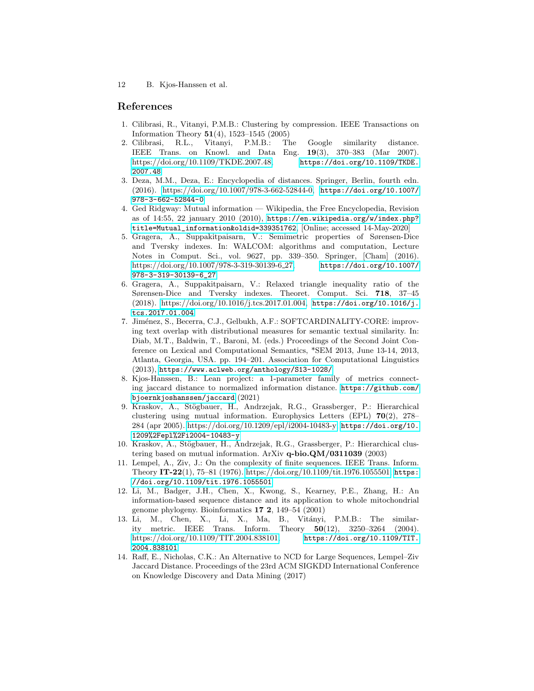## References

- <span id="page-11-9"></span>1. Cilibrasi, R., Vitanyi, P.M.B.: Clustering by compression. IEEE Transactions on Information Theory  $51(4)$ , 1523–1545 (2005)
- <span id="page-11-8"></span>2. Cilibrasi, R.L., Vitanyi, P.M.B.: The Google similarity distance. IEEE Trans. on Knowl. and Data Eng. 19(3), 370–383 (Mar 2007). [https://doi.org/10.1109/TKDE.2007.48,](https://doi.org/10.1109/TKDE.2007.48) [https://doi.org/10.1109/TKDE.](https://doi.org/10.1109/TKDE.2007.48) [2007.48](https://doi.org/10.1109/TKDE.2007.48)
- <span id="page-11-2"></span>3. Deza, M.M., Deza, E.: Encyclopedia of distances. Springer, Berlin, fourth edn. (2016). [https://doi.org/10.1007/978-3-662-52844-0,](https://doi.org/10.1007/978-3-662-52844-0) [https://doi.org/10.1007/](https://doi.org/10.1007/978-3-662-52844-0) [978-3-662-52844-0](https://doi.org/10.1007/978-3-662-52844-0)
- <span id="page-11-7"></span>4. Ged Ridgway: Mutual information — Wikipedia, the Free Encyclopedia, Revision as of 14:55, 22 january 2010 (2010), [https://en.wikipedia.org/w/index.php?](https://en.wikipedia.org/w/index.php?title=Mutual_information&oldid=339351762) [title=Mutual\\_information&oldid=339351762](https://en.wikipedia.org/w/index.php?title=Mutual_information&oldid=339351762), [Online; accessed 14-May-2020]
- <span id="page-11-11"></span>5. Gragera, A., Suppakitpaisarn, V.: Semimetric properties of Sørensen-Dice and Tversky indexes. In: WALCOM: algorithms and computation, Lecture Notes in Comput. Sci., vol. 9627, pp. 339–350. Springer, [Cham] (2016). [https://doi.org/10.1007/978-3-319-30139-6](https://doi.org/10.1007/978-3-319-30139-6_27) 27, [https://doi.org/10.1007/](https://doi.org/10.1007/978-3-319-30139-6_27) [978-3-319-30139-6\\_27](https://doi.org/10.1007/978-3-319-30139-6_27)
- <span id="page-11-12"></span>6. Gragera, A., Suppakitpaisarn, V.: Relaxed triangle inequality ratio of the Sørensen-Dice and Tversky indexes. Theoret. Comput. Sci. 718, 37–45 (2018). [https://doi.org/10.1016/j.tcs.2017.01.004,](https://doi.org/10.1016/j.tcs.2017.01.004) [https://doi.org/10.1016/j.](https://doi.org/10.1016/j.tcs.2017.01.004) [tcs.2017.01.004](https://doi.org/10.1016/j.tcs.2017.01.004)
- <span id="page-11-10"></span>7. Jim´enez, S., Becerra, C.J., Gelbukh, A.F.: SOFTCARDINALITY-CORE: improving text overlap with distributional measures for semantic textual similarity. In: Diab, M.T., Baldwin, T., Baroni, M. (eds.) Proceedings of the Second Joint Conference on Lexical and Computational Semantics, \*SEM 2013, June 13-14, 2013, Atlanta, Georgia, USA. pp. 194–201. Association for Computational Linguistics (2013), <https://www.aclweb.org/anthology/S13-1028/>
- <span id="page-11-13"></span>8. Kjos-Hanssen, B.: Lean project: a 1-parameter family of metrics connecting jaccard distance to normalized information distance. [https://github.com/](https://github.com/bjoernkjoshanssen/jaccard) [bjoernkjoshanssen/jaccard](https://github.com/bjoernkjoshanssen/jaccard) (2021)
- <span id="page-11-6"></span>9. Kraskov, A., Stögbauer, H., Andrzejak, R.G., Grassberger, P.: Hierarchical clustering using mutual information. Europhysics Letters (EPL) 70(2), 278– 284 (apr 2005). [https://doi.org/10.1209/epl/i2004-10483-y,](https://doi.org/10.1209/epl/i2004-10483-y) [https://doi.org/10.](https://doi.org/10.1209%2Fepl%2Fi2004-10483-y) [1209%2Fepl%2Fi2004-10483-y](https://doi.org/10.1209%2Fepl%2Fi2004-10483-y)
- <span id="page-11-5"></span>10. Kraskov, A., Stögbauer, H., Andrzejak, R.G., Grassberger, P.: Hierarchical clustering based on mutual information. ArXiv  $q-bio.QM/0311039$  (2003)
- <span id="page-11-4"></span>11. Lempel, A., Ziv, J.: On the complexity of finite sequences. IEEE Trans. Inform. Theory IT-22(1), 75–81 (1976). [https://doi.org/10.1109/tit.1976.1055501,](https://doi.org/10.1109/tit.1976.1055501) [https:](https://doi.org/10.1109/tit.1976.1055501) [//doi.org/10.1109/tit.1976.1055501](https://doi.org/10.1109/tit.1976.1055501)
- <span id="page-11-0"></span>12. Li, M., Badger, J.H., Chen, X., Kwong, S., Kearney, P.E., Zhang, H.: An information-based sequence distance and its application to whole mitochondrial genome phylogeny. Bioinformatics 17 2, 149–54 (2001)
- <span id="page-11-1"></span>13. Li, M., Chen, X., Li, X., Ma, B., Vitányi, P.M.B.: The similarity metric. IEEE Trans. Inform. Theory 50(12), 3250–3264 (2004). [https://doi.org/10.1109/TIT.2004.838101,](https://doi.org/10.1109/TIT.2004.838101) [https://doi.org/10.1109/TIT.](https://doi.org/10.1109/TIT.2004.838101) [2004.838101](https://doi.org/10.1109/TIT.2004.838101)
- <span id="page-11-3"></span>14. Raff, E., Nicholas, C.K.: An Alternative to NCD for Large Sequences, Lempel–Ziv Jaccard Distance. Proceedings of the 23rd ACM SIGKDD International Conference on Knowledge Discovery and Data Mining (2017)